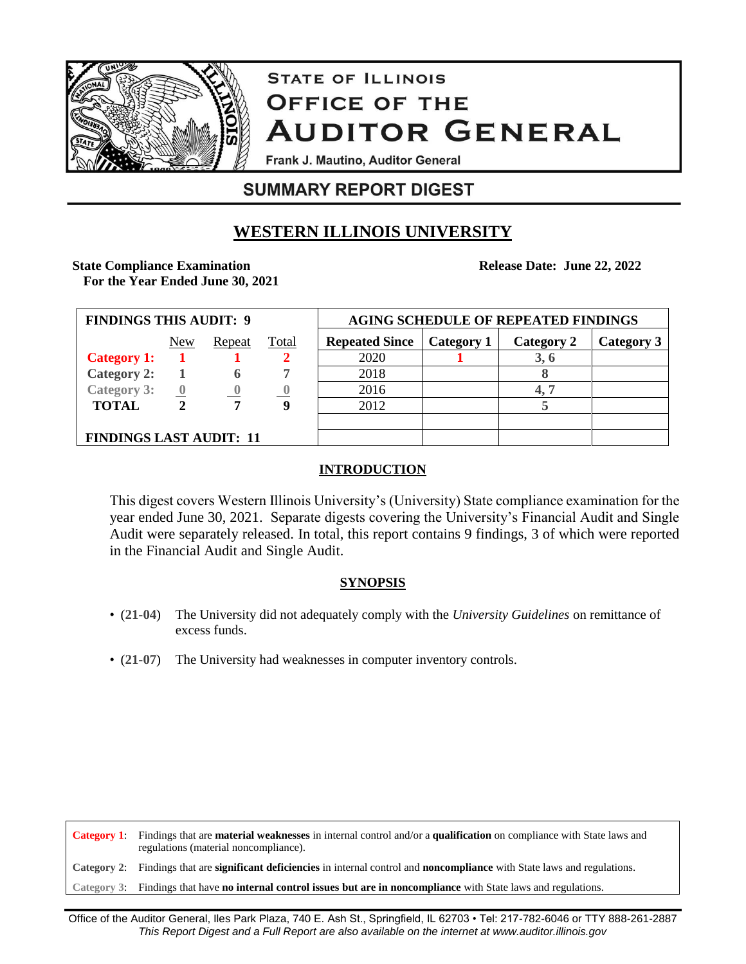

# **STATE OF ILLINOIS OFFICE OF THE AUDITOR GENERAL**

Frank J. Mautino, Auditor General

# **SUMMARY REPORT DIGEST**

# **WESTERN ILLINOIS UNIVERSITY**

## **State Compliance Examination**

**For the Year Ended June 30, 2021**

**Release Date: June 22, 2022**

| <b>FINDINGS THIS AUDIT: 9</b>  |     |        |              | <b>AGING SCHEDULE OF REPEATED FINDINGS</b> |            |            |            |
|--------------------------------|-----|--------|--------------|--------------------------------------------|------------|------------|------------|
|                                | New | Repeat | <u>Total</u> | <b>Repeated Since</b>                      | Category 1 | Category 2 | Category 3 |
| <b>Category 1:</b>             |     |        |              | 2020                                       |            |            |            |
| <b>Category 2:</b>             |     |        |              | 2018                                       |            |            |            |
| <b>Category 3:</b>             |     |        |              | 2016                                       |            |            |            |
| <b>TOTAL</b>                   |     |        | 9            | 2012                                       |            |            |            |
|                                |     |        |              |                                            |            |            |            |
| <b>FINDINGS LAST AUDIT: 11</b> |     |        |              |                                            |            |            |            |

### **INTRODUCTION**

This digest covers Western Illinois University's (University) State compliance examination for the year ended June 30, 2021. Separate digests covering the University's Financial Audit and Single Audit were separately released. In total, this report contains 9 findings, 3 of which were reported in the Financial Audit and Single Audit.

### **SYNOPSIS**

- (**21-04**) The University did not adequately comply with the *University Guidelines* on remittance of excess funds.
- (**21-07**) The University had weaknesses in computer inventory controls.

**Category 1**: Findings that are **material weaknesses** in internal control and/or a **qualification** on compliance with State laws and regulations (material noncompliance).

**Category 2**: Findings that are **significant deficiencies** in internal control and **noncompliance** with State laws and regulations.

**Category 3**: Findings that have **no internal control issues but are in noncompliance** with State laws and regulations.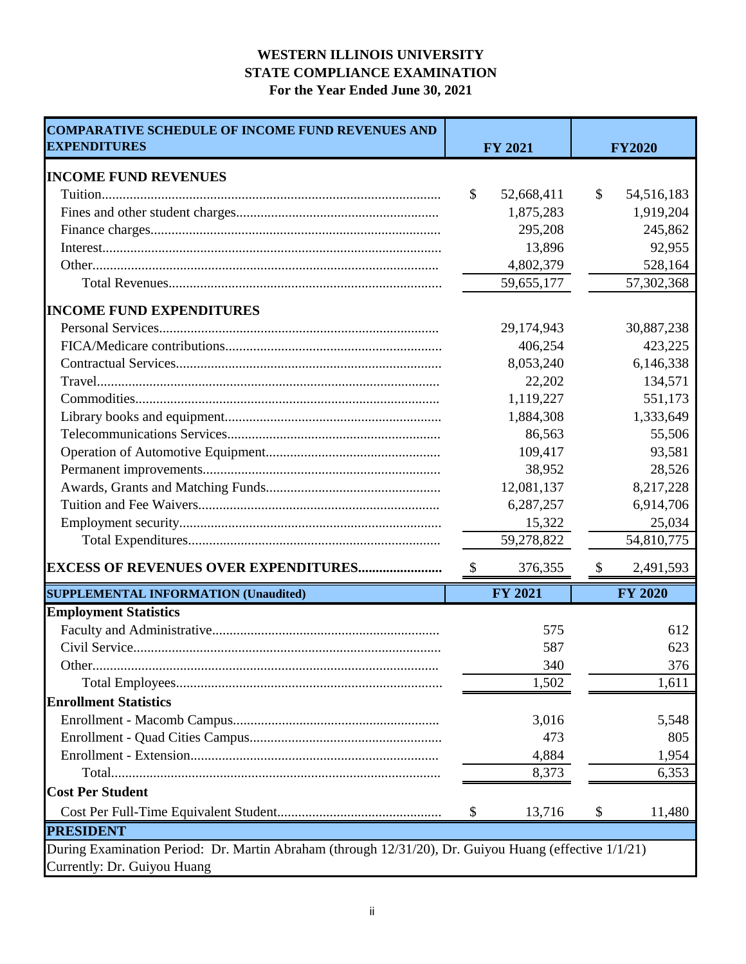# **WESTERN ILLINOIS UNIVERSITY STATE COMPLIANCE EXAMINATION For the Year Ended June 30, 2021**

| <b>COMPARATIVE SCHEDULE OF INCOME FUND REVENUES AND</b><br><b>EXPENDITURES</b>                        | <b>FY 2021</b>                       | <b>FY2020</b>    |
|-------------------------------------------------------------------------------------------------------|--------------------------------------|------------------|
| <b>INCOME FUND REVENUES</b>                                                                           |                                      |                  |
|                                                                                                       | \$<br>52,668,411                     | \$<br>54,516,183 |
|                                                                                                       | 1,875,283                            | 1,919,204        |
|                                                                                                       | 295,208                              | 245,862          |
|                                                                                                       | 13,896                               | 92,955           |
|                                                                                                       | 4,802,379                            | 528,164          |
|                                                                                                       | 59,655,177                           | 57,302,368       |
| <b>INCOME FUND EXPENDITURES</b>                                                                       |                                      |                  |
|                                                                                                       | 29,174,943                           | 30,887,238       |
|                                                                                                       | 406,254                              | 423,225          |
|                                                                                                       | 8,053,240                            | 6,146,338        |
|                                                                                                       | 22,202                               | 134,571          |
|                                                                                                       | 1,119,227                            | 551,173          |
|                                                                                                       | 1,884,308                            | 1,333,649        |
|                                                                                                       | 86,563                               | 55,506           |
|                                                                                                       | 109,417                              | 93,581           |
|                                                                                                       | 38,952                               | 28,526           |
|                                                                                                       | 12,081,137                           | 8,217,228        |
|                                                                                                       | 6,287,257                            | 6,914,706        |
|                                                                                                       | 15,322                               | 25,034           |
|                                                                                                       | 59,278,822                           | 54,810,775       |
| <b>EXCESS OF REVENUES OVER EXPENDITURES</b>                                                           | $\boldsymbol{\mathsf{S}}$<br>376,355 | \$<br>2,491,593  |
| <b>SUPPLEMENTAL INFORMATION (Unaudited)</b>                                                           | <b>FY 2021</b>                       | <b>FY 2020</b>   |
| <b>Employment Statistics</b>                                                                          |                                      |                  |
|                                                                                                       | 575                                  | 612              |
|                                                                                                       | 587                                  | 623              |
|                                                                                                       | 340                                  | 376              |
|                                                                                                       | 1,502                                | 1,611            |
| <b>Enrollment Statistics</b>                                                                          |                                      |                  |
|                                                                                                       | 3,016                                | 5,548            |
|                                                                                                       | 473                                  | 805              |
|                                                                                                       | 4,884                                | 1,954            |
|                                                                                                       | 8,373                                | 6,353            |
| <b>Cost Per Student</b>                                                                               |                                      |                  |
|                                                                                                       | \$<br>13,716                         | \$<br>11,480     |
| <b>PRESIDENT</b>                                                                                      |                                      |                  |
| During Examination Period: Dr. Martin Abraham (through 12/31/20), Dr. Guiyou Huang (effective 1/1/21) |                                      |                  |
| Currently: Dr. Guiyou Huang                                                                           |                                      |                  |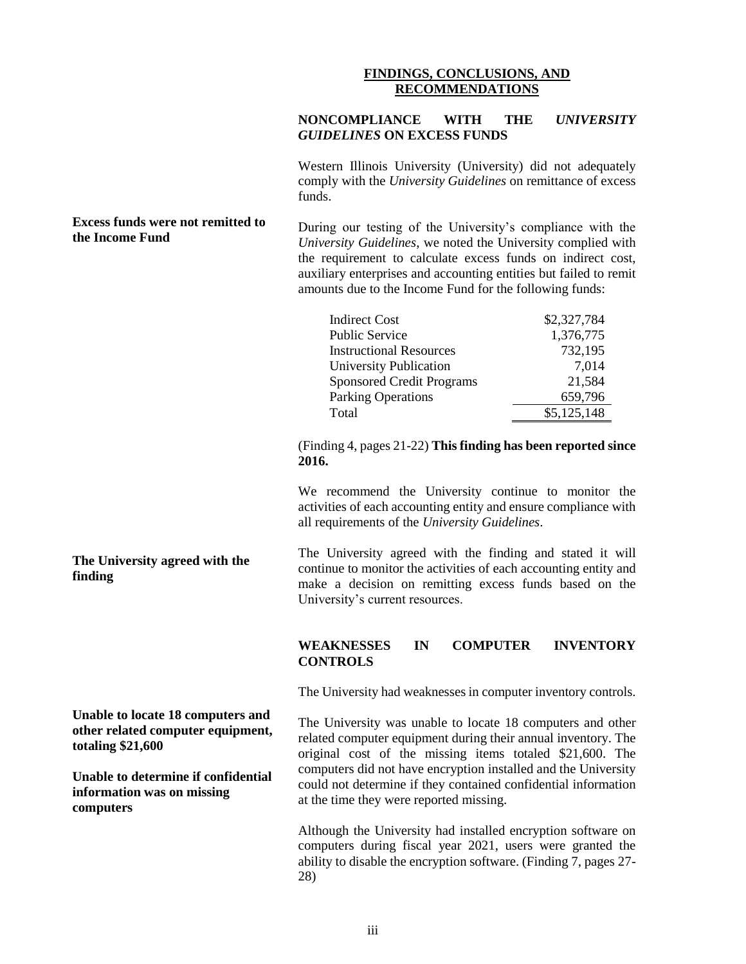#### **FINDINGS, CONCLUSIONS, AND RECOMMENDATIONS**

#### **NONCOMPLIANCE WITH THE** *UNIVERSITY GUIDELINES* **ON EXCESS FUNDS**

Western Illinois University (University) did not adequately comply with the *University Guidelines* on remittance of excess funds.

During our testing of the University's compliance with the *University Guidelines*, we noted the University complied with the requirement to calculate excess funds on indirect cost, auxiliary enterprises and accounting entities but failed to remit amounts due to the Income Fund for the following funds:

| <b>Indirect Cost</b>             | \$2,327,784 |
|----------------------------------|-------------|
| <b>Public Service</b>            | 1,376,775   |
| <b>Instructional Resources</b>   | 732,195     |
| <b>University Publication</b>    | 7,014       |
| <b>Sponsored Credit Programs</b> | 21,584      |
| <b>Parking Operations</b>        | 659,796     |
| Total                            | \$5,125,148 |

(Finding 4, pages 21-22) **This finding has been reported since 2016.**

We recommend the University continue to monitor the activities of each accounting entity and ensure compliance with all requirements of the *University Guidelines*.

The University agreed with the finding and stated it will continue to monitor the activities of each accounting entity and make a decision on remitting excess funds based on the University's current resources.

#### **WEAKNESSES IN COMPUTER INVENTORY CONTROLS**

The University had weaknesses in computer inventory controls.

The University was unable to locate 18 computers and other related computer equipment during their annual inventory. The original cost of the missing items totaled \$21,600. The computers did not have encryption installed and the University could not determine if they contained confidential information at the time they were reported missing.

Although the University had installed encryption software on computers during fiscal year 2021, users were granted the ability to disable the encryption software. (Finding 7, pages 27- 28)

**Excess funds were not remitted to the Income Fund**

**The University agreed with the finding**

**Unable to locate 18 computers and other related computer equipment, totaling \$21,600**

**Unable to determine if confidential information was on missing computers**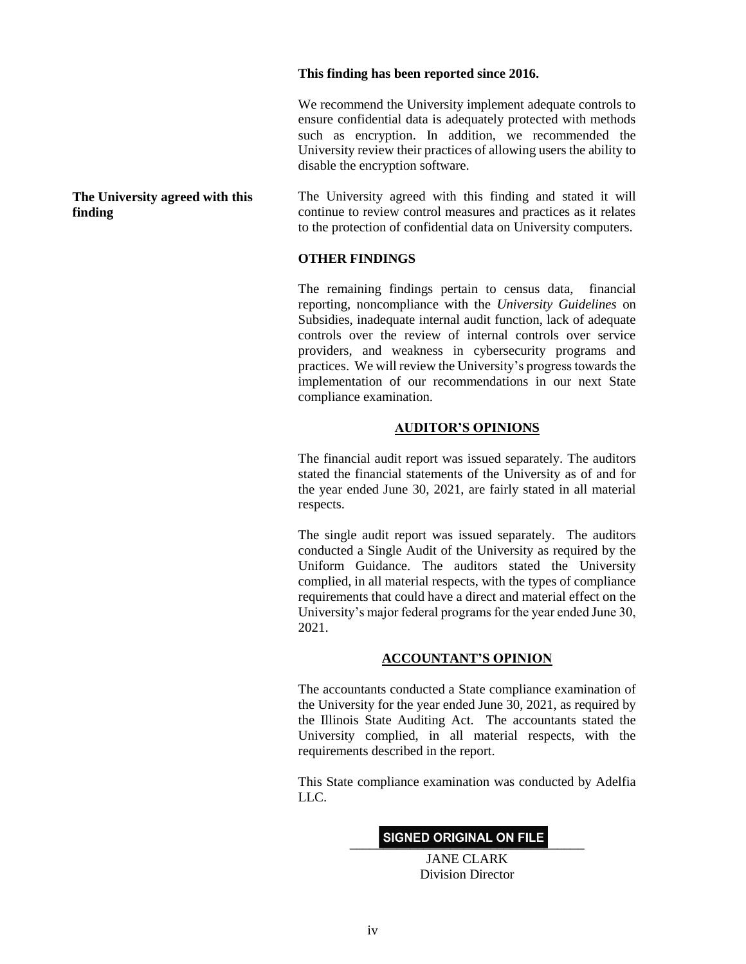#### **This finding has been reported since 2016.**

We recommend the University implement adequate controls to ensure confidential data is adequately protected with methods such as encryption. In addition, we recommended the University review their practices of allowing users the ability to disable the encryption software.

#### **The University agreed with this finding**

The University agreed with this finding and stated it will continue to review control measures and practices as it relates to the protection of confidential data on University computers.

#### **OTHER FINDINGS**

The remaining findings pertain to census data, financial reporting, noncompliance with the *University Guidelines* on Subsidies, inadequate internal audit function, lack of adequate controls over the review of internal controls over service providers, and weakness in cybersecurity programs and practices. We will review the University's progress towards the implementation of our recommendations in our next State compliance examination.

#### **AUDITOR'S OPINIONS**

The financial audit report was issued separately. The auditors stated the financial statements of the University as of and for the year ended June 30, 2021, are fairly stated in all material respects.

The single audit report was issued separately. The auditors conducted a Single Audit of the University as required by the Uniform Guidance. The auditors stated the University complied, in all material respects, with the types of compliance requirements that could have a direct and material effect on the University's major federal programs for the year ended June 30, 2021.

#### **ACCOUNTANT'S OPINION**

The accountants conducted a State compliance examination of the University for the year ended June 30, 2021, as required by the Illinois State Auditing Act. The accountants stated the University complied, in all material respects, with the requirements described in the report.

This State compliance examination was conducted by Adelfia LLC.

### SIGNED ORIGINAL ON FILE

JANE CLARK Division Director